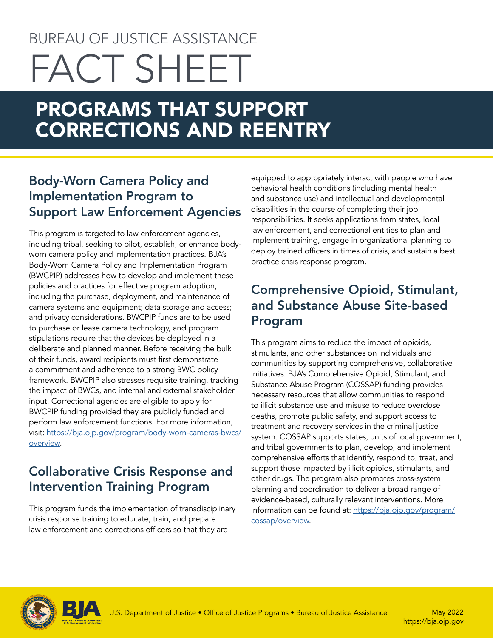# BUREAU OF JUSTICE ASSISTANCE FACT SHEET

# PROGRAMS THAT SUPPORT CORRECTIONS AND REENTRY

# Body-Worn Camera Policy and Implementation Program to Support Law Enforcement Agencies

This program is targeted to law enforcement agencies, including tribal, seeking to pilot, establish, or enhance bodyworn camera policy and implementation practices. BJA's Body-Worn Camera Policy and Implementation Program (BWCPIP) addresses how to develop and implement these policies and practices for effective program adoption, including the purchase, deployment, and maintenance of camera systems and equipment; data storage and access; and privacy considerations. BWCPIP funds are to be used to purchase or lease camera technology, and program stipulations require that the devices be deployed in a deliberate and planned manner. Before receiving the bulk of their funds, award recipients must first demonstrate a commitment and adherence to a strong BWC policy framework. BWCPIP also stresses requisite training, tracking the impact of BWCs, and internal and external stakeholder input. Correctional agencies are eligible to apply for BWCPIP funding provided they are publicly funded and perform law enforcement functions. For more information, visit: [https://bja.ojp.gov/program/body-worn-cameras-bwcs/](https://bja.ojp.gov/program/body-worn-cameras-bwcs/overview) [overview](https://bja.ojp.gov/program/body-worn-cameras-bwcs/overview).

# Collaborative Crisis Response and Intervention Training Program

This program funds the implementation of transdisciplinary crisis response training to educate, train, and prepare law enforcement and corrections officers so that they are

equipped to appropriately interact with people who have behavioral health conditions (including mental health and substance use) and intellectual and developmental disabilities in the course of completing their job responsibilities. It seeks applications from states, local law enforcement, and correctional entities to plan and implement training, engage in organizational planning to deploy trained officers in times of crisis, and sustain a best practice crisis response program.

# Comprehensive Opioid, Stimulant, and Substance Abuse Site-based Program

This program aims to reduce the impact of opioids, stimulants, and other substances on individuals and communities by supporting comprehensive, collaborative initiatives. BJA's Comprehensive Opioid, Stimulant, and Substance Abuse Program (COSSAP) funding provides necessary resources that allow communities to respond to illicit substance use and misuse to reduce overdose deaths, promote public safety, and support access to treatment and recovery services in the criminal justice system. COSSAP supports states, units of local government, and tribal governments to plan, develop, and implement comprehensive efforts that identify, respond to, treat, and support those impacted by illicit opioids, stimulants, and other drugs. The program also promotes cross-system planning and coordination to deliver a broad range of evidence-based, culturally relevant interventions. More information can be found at: [https://bja.ojp.gov/program/](https://bja.ojp.gov/program/cossap/overview) [cossap/overview.](https://bja.ojp.gov/program/cossap/overview)



<https://bja.ojp.gov> May 2022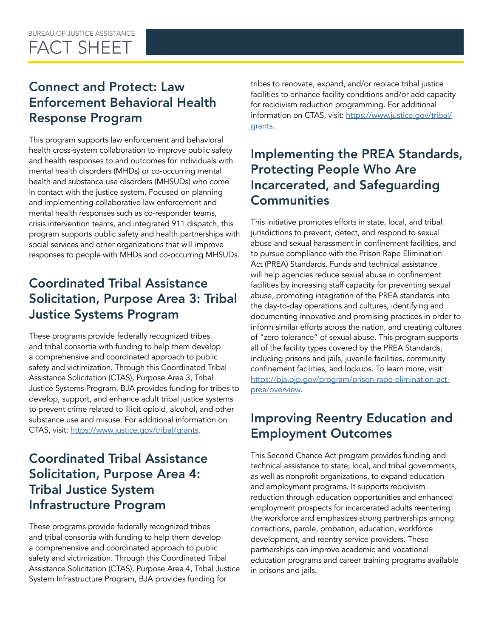# Connect and Protect: Law Enforcement Behavioral Health Response Program

This program supports law enforcement and behavioral health cross-system collaboration to improve public safety and health responses to and outcomes for individuals with mental health disorders (MHDs) or co-occurring mental health and substance use disorders (MHSUDs) who come in contact with the justice system. Focused on planning and implementing collaborative law enforcement and mental health responses such as co-responder teams, crisis intervention teams, and integrated 911 dispatch, this program supports public safety and health partnerships with social services and other organizations that will improve responses to people with MHDs and co-occurring MHSUDs.

# Coordinated Tribal Assistance Solicitation, Purpose Area 3: Tribal Justice Systems Program

These programs provide federally recognized tribes and tribal consortia with funding to help them develop a comprehensive and coordinated approach to public safety and victimization. Through this Coordinated Tribal Assistance Solicitation (CTAS), Purpose Area 3, Tribal Justice Systems Program, BJA provides funding for tribes to develop, support, and enhance adult tribal justice systems to prevent crime related to illicit opioid, alcohol, and other substance use and misuse. For additional information on CTAS, visit: <https://www.justice.gov/tribal/grants>.

# Coordinated Tribal Assistance Solicitation, Purpose Area 4: Tribal Justice System Infrastructure Program

These programs provide federally recognized tribes and tribal consortia with funding to help them develop a comprehensive and coordinated approach to public safety and victimization. Through this Coordinated Tribal Assistance Solicitation (CTAS), Purpose Area 4, Tribal Justice System Infrastructure Program, BJA provides funding for

tribes to renovate, expand, and/or replace tribal justice facilities to enhance facility conditions and/or add capacity for recidivism reduction programming. For additional information on CTAS, visit: [https://www.justice.gov/tribal/](https://www.justice.gov/tribal/grants) [grants.](https://www.justice.gov/tribal/grants)

# Implementing the PREA Standards, Protecting People Who Are Incarcerated, and Safeguarding **Communities**

This initiative promotes efforts in state, local, and tribal jurisdictions to prevent, detect, and respond to sexual abuse and sexual harassment in confinement facilities, and to pursue compliance with the Prison Rape Elimination Act (PREA) Standards. Funds and technical assistance will help agencies reduce sexual abuse in confinement facilities by increasing staff capacity for preventing sexual abuse, promoting integration of the PREA standards into the day-to-day operations and cultures, identifying and documenting innovative and promising practices in order to inform similar efforts across the nation, and creating cultures of "zero tolerance" of sexual abuse. This program supports all of the facility types covered by the PREA Standards, including prisons and jails, juvenile facilities, community confinement facilities, and lockups. To learn more, visit: [https://bja.ojp.gov/program/prison-rape-elimination-act](https://bja.ojp.gov/program/prison-rape-elimination-act-prea/overview)[prea/overview.](https://bja.ojp.gov/program/prison-rape-elimination-act-prea/overview)

# Improving Reentry Education and Employment Outcomes

This Second Chance Act program provides funding and technical assistance to state, local, and tribal governments, as well as nonprofit organizations, to expand education and employment programs. It supports recidivism reduction through education opportunities and enhanced employment prospects for incarcerated adults reentering the workforce and emphasizes strong partnerships among corrections, parole, probation, education, workforce development, and reentry service providers. These partnerships can improve academic and vocational education programs and career training programs available in prisons and jails.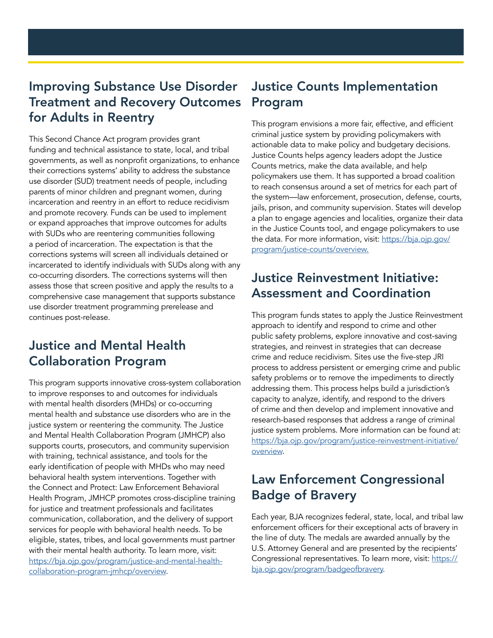## Improving Substance Use Disorder Treatment and Recovery Outcomes for Adults in Reentry

This Second Chance Act program provides grant funding and technical assistance to state, local, and tribal governments, as well as nonprofit organizations, to enhance their corrections systems' ability to address the substance use disorder (SUD) treatment needs of people, including parents of minor children and pregnant women, during incarceration and reentry in an effort to reduce recidivism and promote recovery. Funds can be used to implement or expand approaches that improve outcomes for adults with SUDs who are reentering communities following a period of incarceration. The expectation is that the corrections systems will screen all individuals detained or incarcerated to identify individuals with SUDs along with any co-occurring disorders. The corrections systems will then assess those that screen positive and apply the results to a comprehensive case management that supports substance use disorder treatment programming prerelease and continues post-release.

# Justice and Mental Health Collaboration Program

This program supports innovative cross-system collaboration to improve responses to and outcomes for individuals with mental health disorders (MHDs) or co-occurring mental health and substance use disorders who are in the justice system or reentering the community. The Justice and Mental Health Collaboration Program (JMHCP) also supports courts, prosecutors, and community supervision with training, technical assistance, and tools for the early identification of people with MHDs who may need behavioral health system interventions. Together with the Connect and Protect: Law Enforcement Behavioral Health Program, JMHCP promotes cross-discipline training for justice and treatment professionals and facilitates communication, collaboration, and the delivery of support services for people with behavioral health needs. To be eligible, states, tribes, and local governments must partner with their mental health authority. To learn more, visit: [https://bja.ojp.gov/program/justice-and-mental-health](https://bja.ojp.gov/program/justice-and-mental-health-collaboration-program-jmhcp/overview)[collaboration-program-jmhcp/overview](https://bja.ojp.gov/program/justice-and-mental-health-collaboration-program-jmhcp/overview).

## Justice Counts Implementation Program

This program envisions a more fair, effective, and efficient criminal justice system by providing policymakers with actionable data to make policy and budgetary decisions. Justice Counts helps agency leaders adopt the Justice Counts metrics, make the data available, and help policymakers use them. It has supported a broad coalition to reach consensus around a set of metrics for each part of the system—law enforcement, prosecution, defense, courts, jails, prison, and community supervision. States will develop a plan to engage agencies and localities, organize their data in the Justice Counts tool, and engage policymakers to use the data. For more information, visit: [https://bja.ojp.gov/](https://bja.ojp.gov/program/justice-counts/overview.) [program/justice-counts/overview.](https://bja.ojp.gov/program/justice-counts/overview.)

# Justice Reinvestment Initiative: Assessment and Coordination

This program funds states to apply the Justice Reinvestment approach to identify and respond to crime and other public safety problems, explore innovative and cost-saving strategies, and reinvest in strategies that can decrease crime and reduce recidivism. Sites use the five-step JRI process to address persistent or emerging crime and public safety problems or to remove the impediments to directly addressing them. This process helps build a jurisdiction's capacity to analyze, identify, and respond to the drivers of crime and then develop and implement innovative and research-based responses that address a range of criminal justice system problems. More information can be found at: [https://bja.ojp.gov/program/justice-reinvestment-initiative/](https://bja.ojp.gov/program/justice-reinvestment-initiative/overview) [overview.](https://bja.ojp.gov/program/justice-reinvestment-initiative/overview)

# Law Enforcement Congressional Badge of Bravery

Each year, BJA recognizes federal, state, local, and tribal law enforcement officers for their exceptional acts of bravery in the line of duty. The medals are awarded annually by the U.S. Attorney General and are presented by the recipients' Congressional representatives. To learn more, visit: [https://](https://bja.ojp.gov/program/badgeofbravery) [bja.ojp.gov/program/badgeofbravery.](https://bja.ojp.gov/program/badgeofbravery)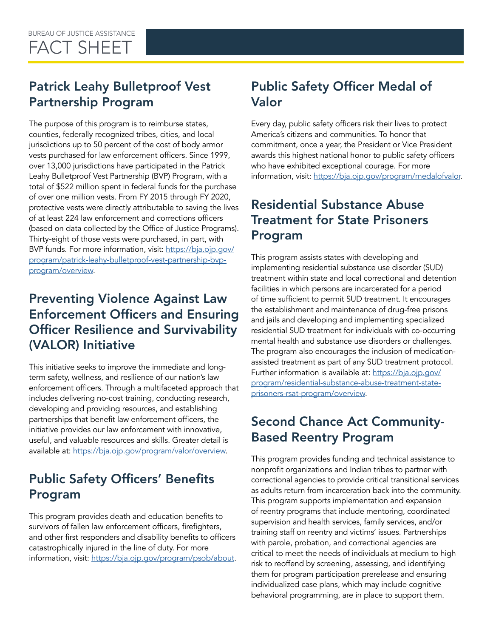# Patrick Leahy Bulletproof Vest Partnership Program

The purpose of this program is to reimburse states, counties, federally recognized tribes, cities, and local jurisdictions up to 50 percent of the cost of body armor vests purchased for law enforcement officers. Since 1999, over 13,000 jurisdictions have participated in the Patrick Leahy Bulletproof Vest Partnership (BVP) Program, with a total of \$522 million spent in federal funds for the purchase of over one million vests. From FY 2015 through FY 2020, protective vests were directly attributable to saving the lives of at least 224 law enforcement and corrections officers (based on data collected by the Office of Justice Programs). Thirty-eight of those vests were purchased, in part, with BVP funds. For more information, visit: [https://bja.ojp.gov/](https://bja.ojp.gov/program/patrick-leahy-bulletproof-vest-partnership-bvp-program/overview) [program/patrick-leahy-bulletproof-vest-partnership-bvp](https://bja.ojp.gov/program/patrick-leahy-bulletproof-vest-partnership-bvp-program/overview)[program/overview](https://bja.ojp.gov/program/patrick-leahy-bulletproof-vest-partnership-bvp-program/overview).

# Preventing Violence Against Law Enforcement Officers and Ensuring Officer Resilience and Survivability (VALOR) Initiative

This initiative seeks to improve the immediate and longterm safety, wellness, and resilience of our nation's law enforcement officers. Through a multifaceted approach that includes delivering no-cost training, conducting research, developing and providing resources, and establishing partnerships that benefit law enforcement officers, the initiative provides our law enforcement with innovative, useful, and valuable resources and skills. Greater detail is available at: [https://bja.ojp.gov/program/valor/overview.](https://bja.ojp.gov/program/valor/overview)

# Public Safety Officers' Benefits Program

This program provides death and education benefits to survivors of fallen law enforcement officers, firefighters, and other first responders and disability benefits to officers catastrophically injured in the line of duty. For more information, visit: <https://bja.ojp.gov/program/psob/about>.

# Public Safety Officer Medal of Valor

Every day, public safety officers risk their lives to protect America's citizens and communities. To honor that commitment, once a year, the President or Vice President awards this highest national honor to public safety officers who have exhibited exceptional courage. For more information, visit: <https://bja.ojp.gov/program/medalofvalor>.

# Residential Substance Abuse Treatment for State Prisoners Program

This program assists states with developing and implementing residential substance use disorder (SUD) treatment within state and local correctional and detention facilities in which persons are incarcerated for a period of time sufficient to permit SUD treatment. It encourages the establishment and maintenance of drug-free prisons and jails and developing and implementing specialized residential SUD treatment for individuals with co-occurring mental health and substance use disorders or challenges. The program also encourages the inclusion of medicationassisted treatment as part of any SUD treatment protocol. Further information is available at: [https://bja.ojp.gov/](https://bja.ojp.gov/program/residential-substance-abuse-treatment-state-prisoners-rsat-program/overview) [program/residential-substance-abuse-treatment-state](https://bja.ojp.gov/program/residential-substance-abuse-treatment-state-prisoners-rsat-program/overview)[prisoners-rsat-program/overview](https://bja.ojp.gov/program/residential-substance-abuse-treatment-state-prisoners-rsat-program/overview).

# Second Chance Act Community-Based Reentry Program

This program provides funding and technical assistance to nonprofit organizations and Indian tribes to partner with correctional agencies to provide critical transitional services as adults return from incarceration back into the community. This program supports implementation and expansion of reentry programs that include mentoring, coordinated supervision and health services, family services, and/or training staff on reentry and victims' issues. Partnerships with parole, probation, and correctional agencies are critical to meet the needs of individuals at medium to high risk to reoffend by screening, assessing, and identifying them for program participation prerelease and ensuring individualized case plans, which may include cognitive behavioral programming, are in place to support them.